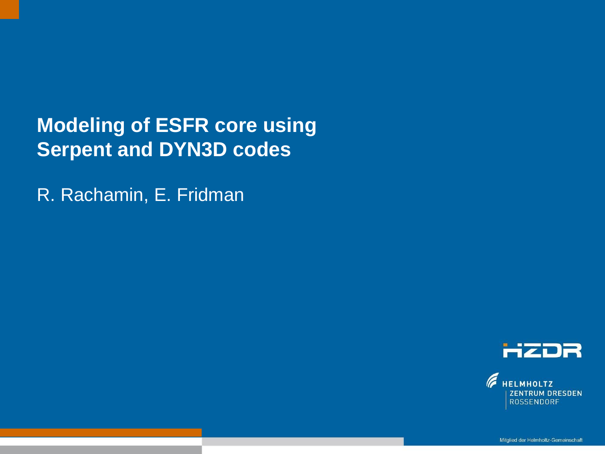**Modeling of ESFR core using Serpent and DYN3D codes**

Text optional: Institutsname Prof. Dr. Hans Mustermann www.fzd.de Mitglied der Leibniz-Gemeinschaft

R. Rachamin, E. Fridman



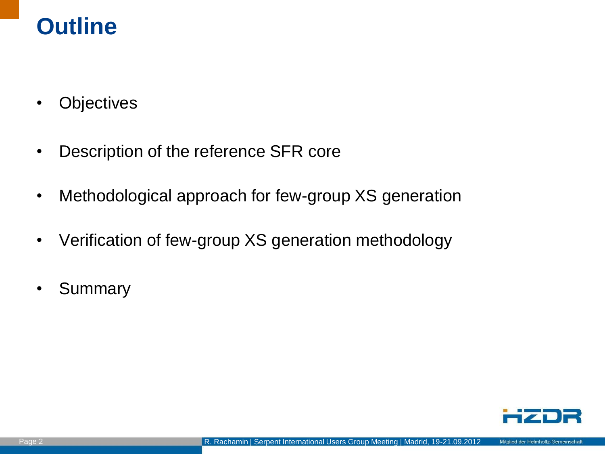### **Outline**

- Objectives
- Description of the reference SFR core
- Methodological approach for few-group XS generation
- Verification of few-group XS generation methodology
- Summary

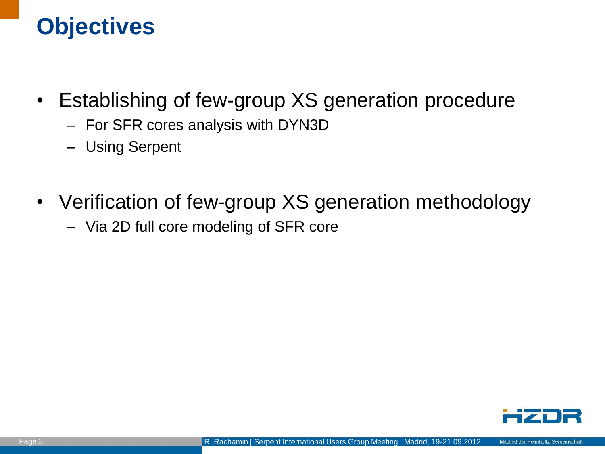## **Objectives**

- Establishing of few-group XS generation procedure
	- For SFR cores analysis with DYN3D
	- Using Serpent
- Verification of few-group XS generation methodology
	- Via 2D full core modeling of SFR core

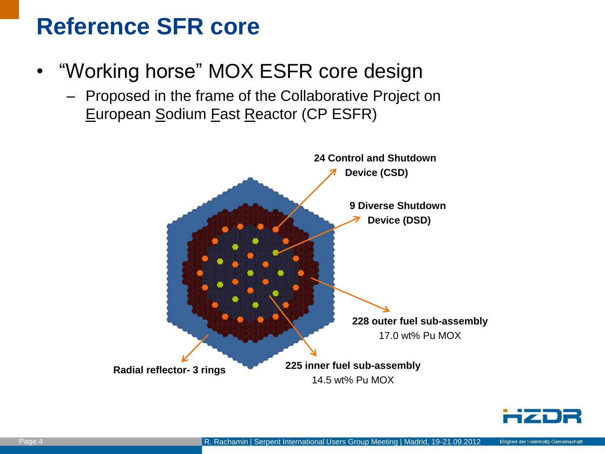## **Reference SFR core**

- "Working horse" MOX ESFR core design
	- Proposed in the frame of the Collaborative Project on European Sodium Fast Reactor (CP ESFR)



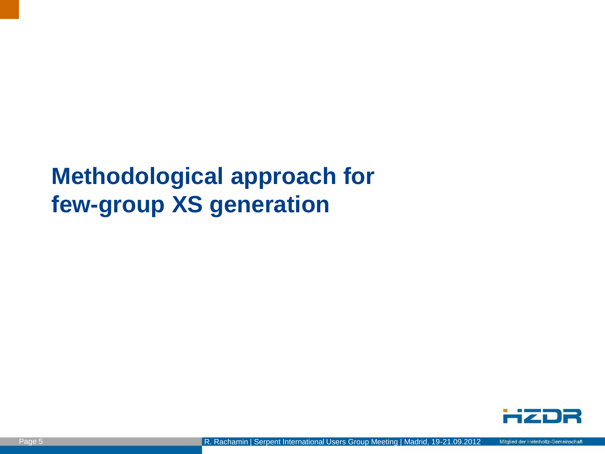## **Methodological approach for few-group XS generation**

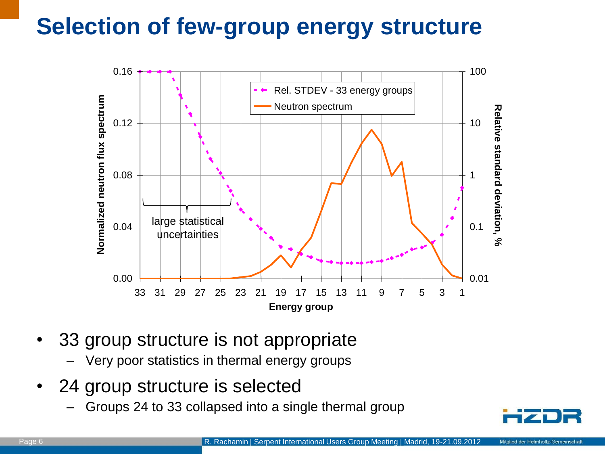# **Selection of few-group energy structure**



- 33 group structure is not appropriate
	- Very poor statistics in thermal energy groups
- 24 group structure is selected
	- Groups 24 to 33 collapsed into a single thermal group

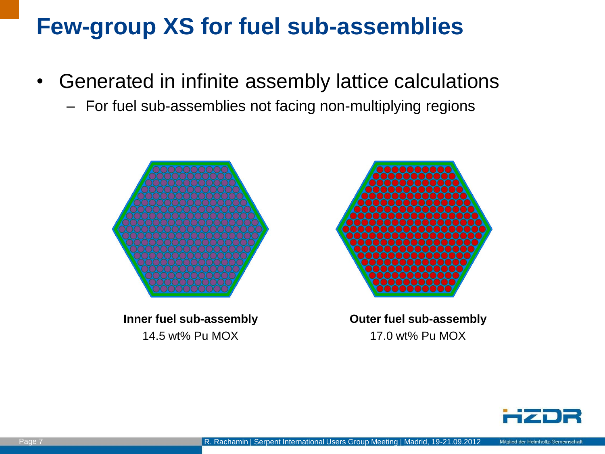## **Few-group XS for fuel sub-assemblies**

- Generated in infinite assembly lattice calculations
	- For fuel sub-assemblies not facing non-multiplying regions



**Inner fuel sub-assembly** 14.5 wt% Pu MOX



**Outer fuel sub-assembly** 17.0 wt% Pu MOX

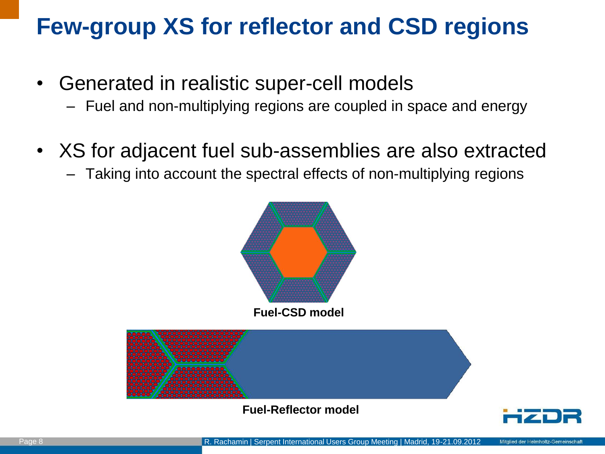## **Few-group XS for reflector and CSD regions**

- Generated in realistic super-cell models
	- Fuel and non-multiplying regions are coupled in space and energy
- XS for adjacent fuel sub-assemblies are also extracted
	- Taking into account the spectral effects of non-multiplying regions

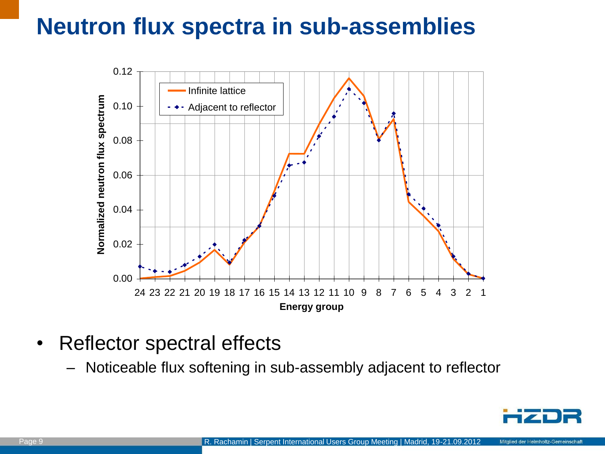## **Neutron flux spectra in sub-assemblies**



- Reflector spectral effects
	- Noticeable flux softening in sub-assembly adjacent to reflector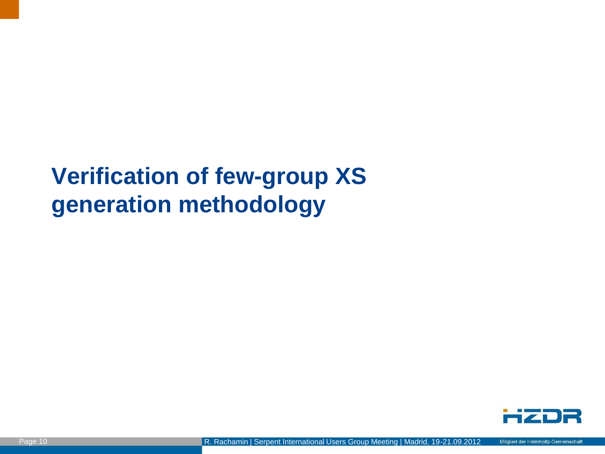## **Verification of few-group XS generation methodology**

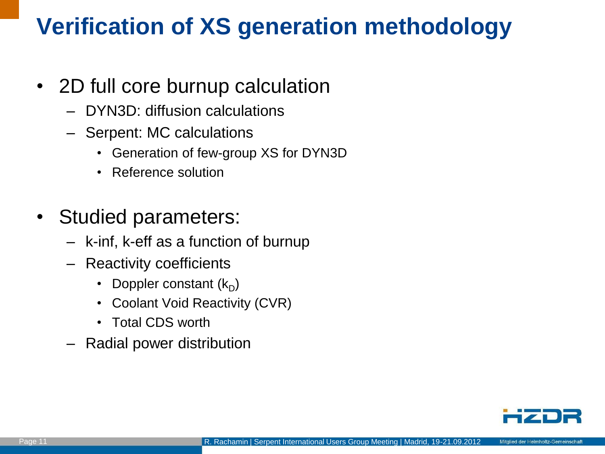# **Verification of XS generation methodology**

#### • 2D full core burnup calculation

- DYN3D: diffusion calculations
- Serpent: MC calculations
	- Generation of few-group XS for DYN3D
	- Reference solution
- Studied parameters:
	- k-inf, k-eff as a function of burnup
	- Reactivity coefficients
		- Doppler constant  $(k_D)$
		- Coolant Void Reactivity (CVR)
		- Total CDS worth
	- Radial power distribution

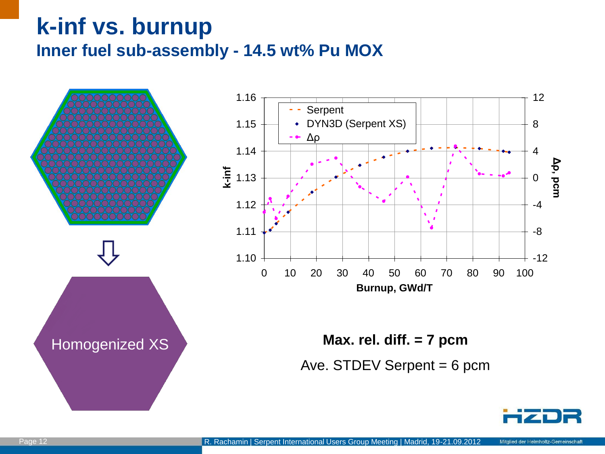### **k-inf vs. burnup Inner fuel sub-assembly - 14.5 wt% Pu MOX**

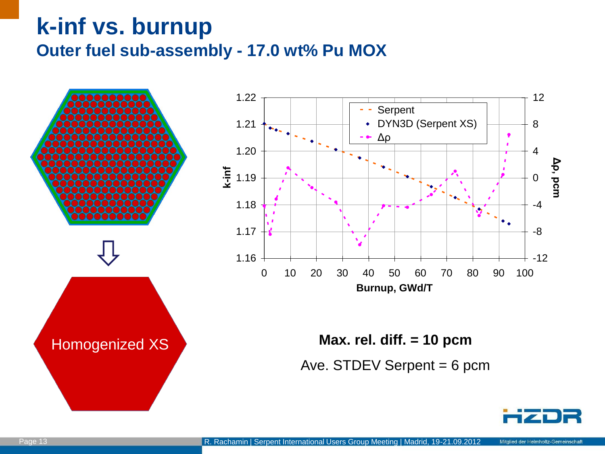### **k-inf vs. burnup Outer fuel sub-assembly - 17.0 wt% Pu MOX**

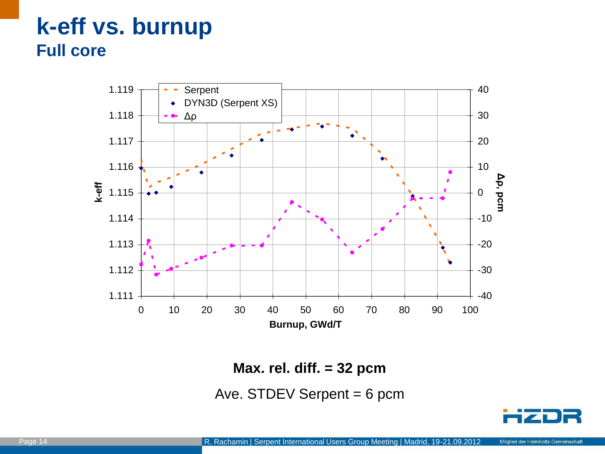### **k-eff vs. burnup Full core**



**Max. rel. diff. = 32 pcm**

Ave. STDEV Serpent  $= 6$  pcm

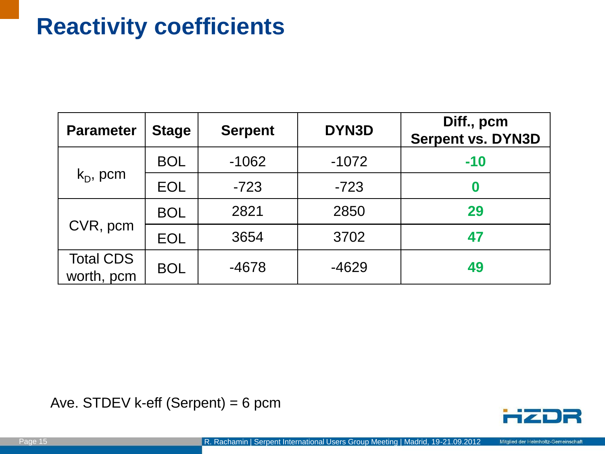## **Reactivity coefficients**

| <b>Parameter</b>               | <b>Stage</b> | <b>Serpent</b> | DYN3D   | Diff., pcm<br><b>Serpent vs. DYN3D</b> |
|--------------------------------|--------------|----------------|---------|----------------------------------------|
| $k_D$ , pcm                    | <b>BOL</b>   | $-1062$        | $-1072$ | $-10$                                  |
|                                | <b>EOL</b>   | $-723$         | $-723$  | 0                                      |
| CVR, pcm                       | <b>BOL</b>   | 2821           | 2850    | 29                                     |
|                                | <b>EOL</b>   | 3654           | 3702    | 47                                     |
| <b>Total CDS</b><br>worth, pcm | <b>BOL</b>   | $-4678$        | $-4629$ | 49                                     |

Ave. STDEV k-eff (Serpent) = 6 pcm

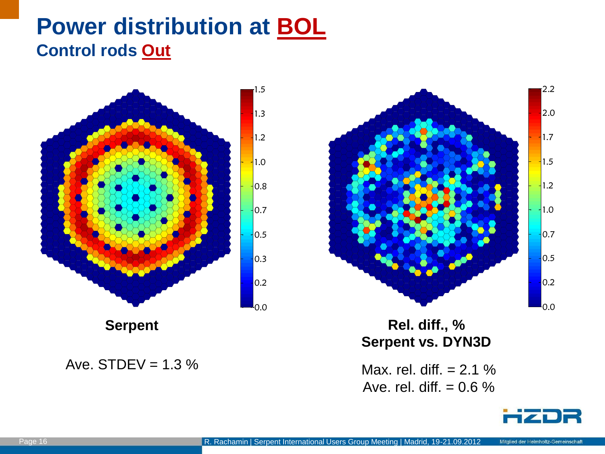### **Power distribution at BOL Control rods Out**



 $\mathsf{I}_{0.0}$ 0.2  $0.5$  $|0.7$  $-1.0$  $-1.2$  $-1.5$  $1.7$ 2.0  $2.2$ 

**Rel. diff., % Serpent vs. DYN3D**

Ave. rel. diff.  $= 0.6 \%$ 



Ave. STDEV =  $1.3\%$  Max. rel. diff. =  $2.1\%$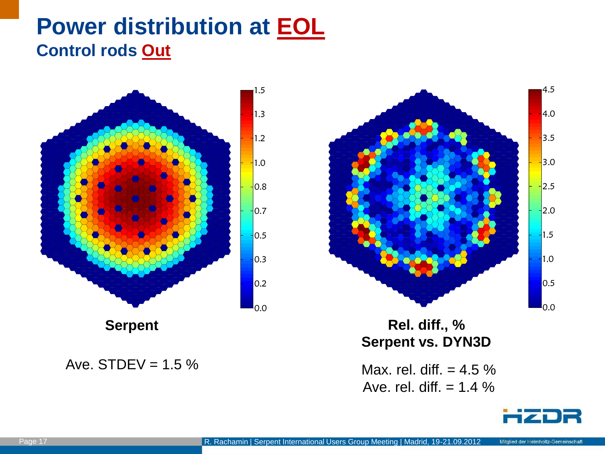### **Power distribution at EOL Control rods Out**





**Rel. diff., % Serpent vs. DYN3D**

Ave. rel. diff.  $= 1.4 \%$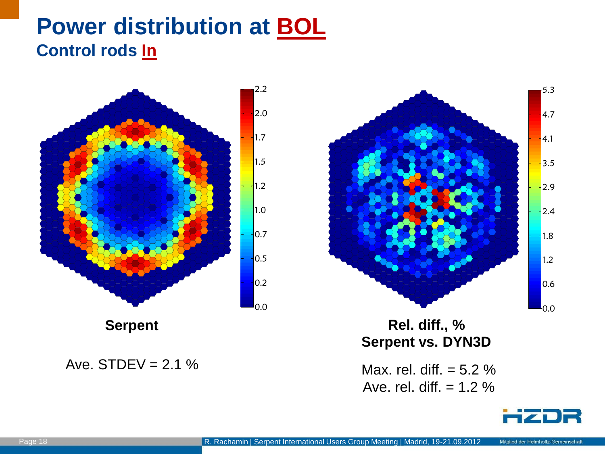### **Power distribution at BOL Control rods In**



Ave. STDEV =  $2.1\%$  Max. rel. diff. =  $5.2\%$ 



**Rel. diff., % Serpent vs. DYN3D**

Ave. rel. diff.  $= 1.2 \%$ 

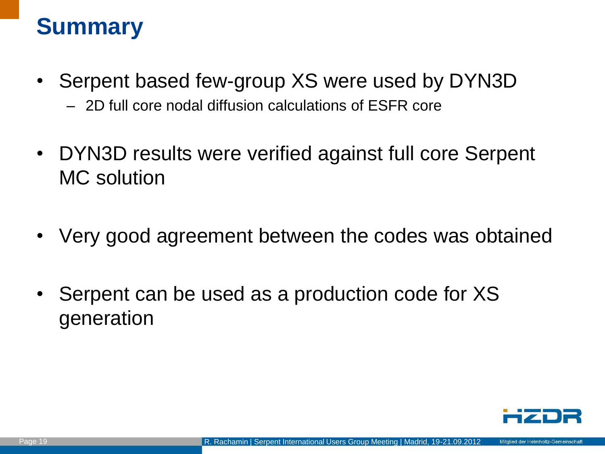## **Summary**

- Serpent based few-group XS were used by DYN3D
	- 2D full core nodal diffusion calculations of ESFR core
- DYN3D results were verified against full core Serpent MC solution
- Very good agreement between the codes was obtained
- Serpent can be used as a production code for XS generation